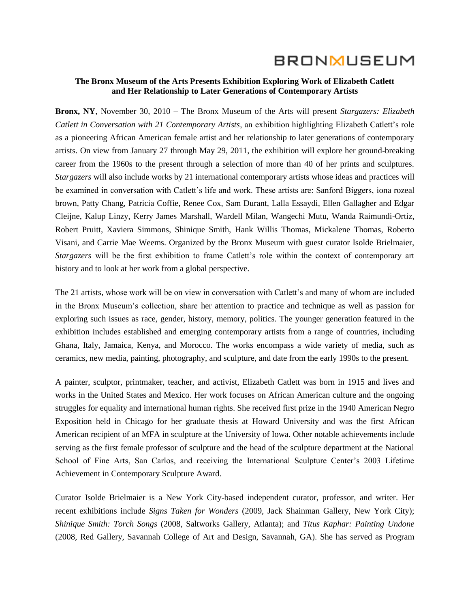# **BRONMUSEUM**

#### **The Bronx Museum of the Arts Presents Exhibition Exploring Work of Elizabeth Catlett and Her Relationship to Later Generations of Contemporary Artists**

**Bronx, NY**, November 30, 2010 – The Bronx Museum of the Arts will present *Stargazers: Elizabeth Catlett in Conversation with 21 Contemporary Artists*, an exhibition highlighting Elizabeth Catlett's role as a pioneering African American female artist and her relationship to later generations of contemporary artists. On view from January 27 through May 29, 2011, the exhibition will explore her ground-breaking career from the 1960s to the present through a selection of more than 40 of her prints and sculptures. *Stargazers* will also include works by 21 international contemporary artists whose ideas and practices will be examined in conversation with Catlett's life and work. These artists are: Sanford Biggers, iona rozeal brown, Patty Chang, Patricia Coffie, Renee Cox, Sam Durant, Lalla Essaydi, Ellen Gallagher and Edgar Cleijne, Kalup Linzy, Kerry James Marshall, Wardell Milan, Wangechi Mutu, Wanda Raimundi-Ortiz, Robert Pruitt, Xaviera Simmons, Shinique Smith, Hank Willis Thomas, Mickalene Thomas, Roberto Visani, and Carrie Mae Weems. Organized by the Bronx Museum with guest curator Isolde Brielmaier, *Stargazers* will be the first exhibition to frame Catlett's role within the context of contemporary art history and to look at her work from a global perspective.

The 21 artists, whose work will be on view in conversation with Catlett's and many of whom are included in the Bronx Museum's collection, share her attention to practice and technique as well as passion for exploring such issues as race, gender, history, memory, politics. The younger generation featured in the exhibition includes established and emerging contemporary artists from a range of countries, including Ghana, Italy, Jamaica, Kenya, and Morocco. The works encompass a wide variety of media, such as ceramics, new media, painting, photography, and sculpture, and date from the early 1990s to the present.

A painter, sculptor, printmaker, teacher, and activist, Elizabeth Catlett was born in 1915 and lives and works in the United States and Mexico. Her work focuses on African American culture and the ongoing struggles for equality and international human rights. She received first prize in the 1940 American Negro Exposition held in Chicago for her graduate thesis at Howard University and was the first African American recipient of an MFA in sculpture at the University of Iowa. Other notable achievements include serving as the first female professor of sculpture and the head of the sculpture department at the National School of Fine Arts, San Carlos, and receiving the International Sculpture Center's 2003 Lifetime Achievement in Contemporary Sculpture Award.

Curator Isolde Brielmaier is a New York City-based independent curator, professor, and writer. Her recent exhibitions include *Signs Taken for Wonders* (2009, Jack Shainman Gallery, New York City); *Shinique Smith: Torch Songs* (2008, Saltworks Gallery, Atlanta); and *Titus Kaphar: Painting Undone* (2008, Red Gallery, Savannah College of Art and Design, Savannah, GA). She has served as Program